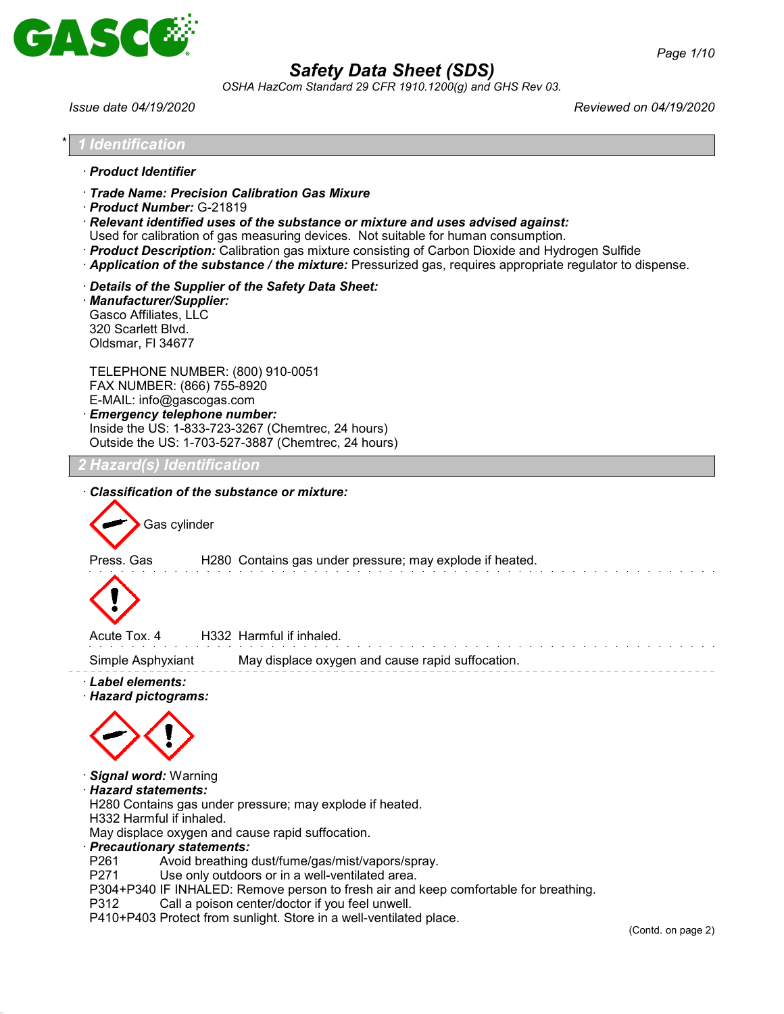

*OSHA HazCom Standard 29 CFR 1910.1200(g) and GHS Rev 03.*

*Issue date 04/19/2020 Reviewed on 04/19/2020*

| Identification                                                                                                                                                                                                                                                                                       |  |  |
|------------------------------------------------------------------------------------------------------------------------------------------------------------------------------------------------------------------------------------------------------------------------------------------------------|--|--|
|                                                                                                                                                                                                                                                                                                      |  |  |
| · Product Identifier<br>· Trade Name: Precision Calibration Gas Mixure                                                                                                                                                                                                                               |  |  |
| · Product Number: G-21819<br>$\cdot$ Relevant identified uses of the substance or mixture and uses advised against:                                                                                                                                                                                  |  |  |
| Used for calibration of gas measuring devices. Not suitable for human consumption.<br>· Product Description: Calibration gas mixture consisting of Carbon Dioxide and Hydrogen Sulfide<br>· Application of the substance / the mixture: Pressurized gas, requires appropriate regulator to dispense. |  |  |
| Details of the Supplier of the Safety Data Sheet:<br>· Manufacturer/Supplier:<br>Gasco Affiliates, LLC<br>320 Scarlett Blvd.<br>Oldsmar, FI 34677                                                                                                                                                    |  |  |
| TELEPHONE NUMBER: (800) 910-0051<br>FAX NUMBER: (866) 755-8920<br>E-MAIL: info@gascogas.com<br><b>Emergency telephone number:</b><br>Inside the US: 1-833-723-3267 (Chemtrec, 24 hours)<br>Outside the US: 1-703-527-3887 (Chemtrec, 24 hours)                                                       |  |  |
| Hazard(s) Identification                                                                                                                                                                                                                                                                             |  |  |
| Classification of the substance or mixture:                                                                                                                                                                                                                                                          |  |  |
| Gas cylinder                                                                                                                                                                                                                                                                                         |  |  |
| H280 Contains gas under pressure; may explode if heated.<br>Press, Gas                                                                                                                                                                                                                               |  |  |
| H332 Harmful if inhaled.<br>Acute Tox, 4                                                                                                                                                                                                                                                             |  |  |
| Simple Asphyxiant<br>May displace oxygen and cause rapid suffocation.                                                                                                                                                                                                                                |  |  |
| $\cdot$ Label elements:<br><b>Hazard pictograms:</b>                                                                                                                                                                                                                                                 |  |  |
|                                                                                                                                                                                                                                                                                                      |  |  |
| · Signal word: Warning<br>$\cdot$ Hazard statements:<br>H280 Contains gas under pressure; may explode if heated.<br>H332 Harmful if inhaled.                                                                                                                                                         |  |  |
| May displace oxygen and cause rapid suffocation.<br>· Precautionary statements:                                                                                                                                                                                                                      |  |  |
| P <sub>261</sub><br>Avoid breathing dust/fume/gas/mist/vapors/spray.<br>P271<br>Use only outdoors or in a well-ventilated area.                                                                                                                                                                      |  |  |
| P304+P340 IF INHALED: Remove person to fresh air and keep comfortable for breathing.<br>P312<br>Call a poison center/doctor if you feel unwell.                                                                                                                                                      |  |  |
| P410+P403 Protect from sunlight. Store in a well-ventilated place.<br>(Contd. on page 2)                                                                                                                                                                                                             |  |  |
|                                                                                                                                                                                                                                                                                                      |  |  |
|                                                                                                                                                                                                                                                                                                      |  |  |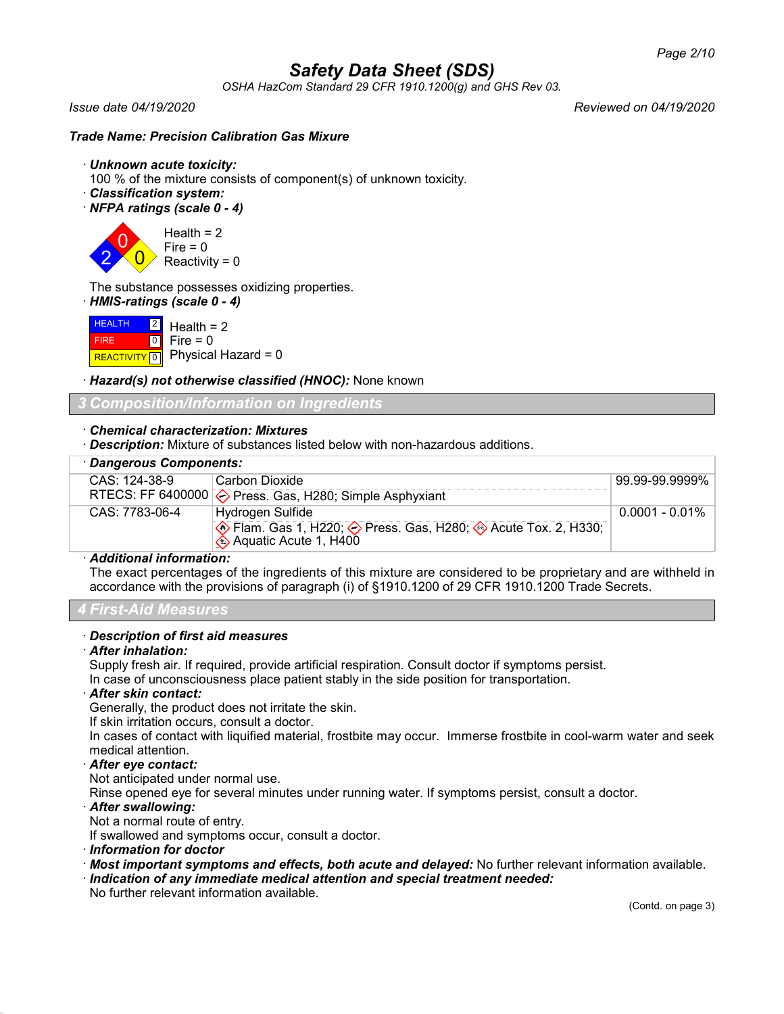*OSHA HazCom Standard 29 CFR 1910.1200(g) and GHS Rev 03.*

2

*Issue date 04/19/2020 Reviewed on 04/19/2020*

### *Trade Name: Precision Calibration Gas Mixure*

- · *Unknown acute toxicity:*
- 100 % of the mixture consists of component(s) of unknown toxicity.
- · *Classification system:*
- · *NFPA ratings (scale 0 4)*

 $\overline{0}$  $\overline{0}$ Health  $= 2$  $Fire = 0$ Reactivity =  $0$ 

The substance possesses oxidizing properties.

· *HMIS-ratings (scale 0 - 4)*

| $H$ HEALTH $2$ Health = 2 |                                          |
|---------------------------|------------------------------------------|
| <b>FIRE</b>               | $\blacksquare$ 0 $\blacksquare$ Fire = 0 |
|                           | REACTIVITY 0 Physical Hazard = 0         |

· *Hazard(s) not otherwise classified (HNOC):* None known

### *3 Composition/Information on Ingredients*

### · *Chemical characterization: Mixtures*

· *Description:* Mixture of substances listed below with non-hazardous additions.

| · Dangerous Components: |                                                                                                                                  |                   |
|-------------------------|----------------------------------------------------------------------------------------------------------------------------------|-------------------|
| $CAS: 124-38-9$         | l Carbon Dioxide                                                                                                                 | 99.99-99.9999%    |
|                         | RTECS: FF 6400000 $\diamond$ Press. Gas, H280; Simple Asphyxiant                                                                 |                   |
| CAS: 7783-06-4          | Hydrogen Sulfide                                                                                                                 | $0.0001 - 0.01\%$ |
|                         | ♦ Flam. Gas 1, H220; ♦ Press. Gas, H280; ♦ Acute Tox. 2, H330;<br>$\langle \hat{\mathbf{\bullet}} \rangle$ Aquatic Acute 1, H400 |                   |

### · *Additional information:*

The exact percentages of the ingredients of this mixture are considered to be proprietary and are withheld in accordance with the provisions of paragraph (i) of §1910.1200 of 29 CFR 1910.1200 Trade Secrets.

### *4 First-Aid Measures*

### · *Description of first aid measures*

### · *After inhalation:*

Supply fresh air. If required, provide artificial respiration. Consult doctor if symptoms persist.

In case of unconsciousness place patient stably in the side position for transportation.

### · *After skin contact:*

Generally, the product does not irritate the skin.

If skin irritation occurs, consult a doctor.

In cases of contact with liquified material, frostbite may occur. Immerse frostbite in cool-warm water and seek medical attention.

### · *After eye contact:*

Not anticipated under normal use.

Rinse opened eye for several minutes under running water. If symptoms persist, consult a doctor.

### · *After swallowing:*

Not a normal route of entry.

If swallowed and symptoms occur, consult a doctor.

- · *Information for doctor*
- · *Most important symptoms and effects, both acute and delayed:* No further relevant information available.
- · *Indication of any immediate medical attention and special treatment needed:*

No further relevant information available.

(Contd. on page 3)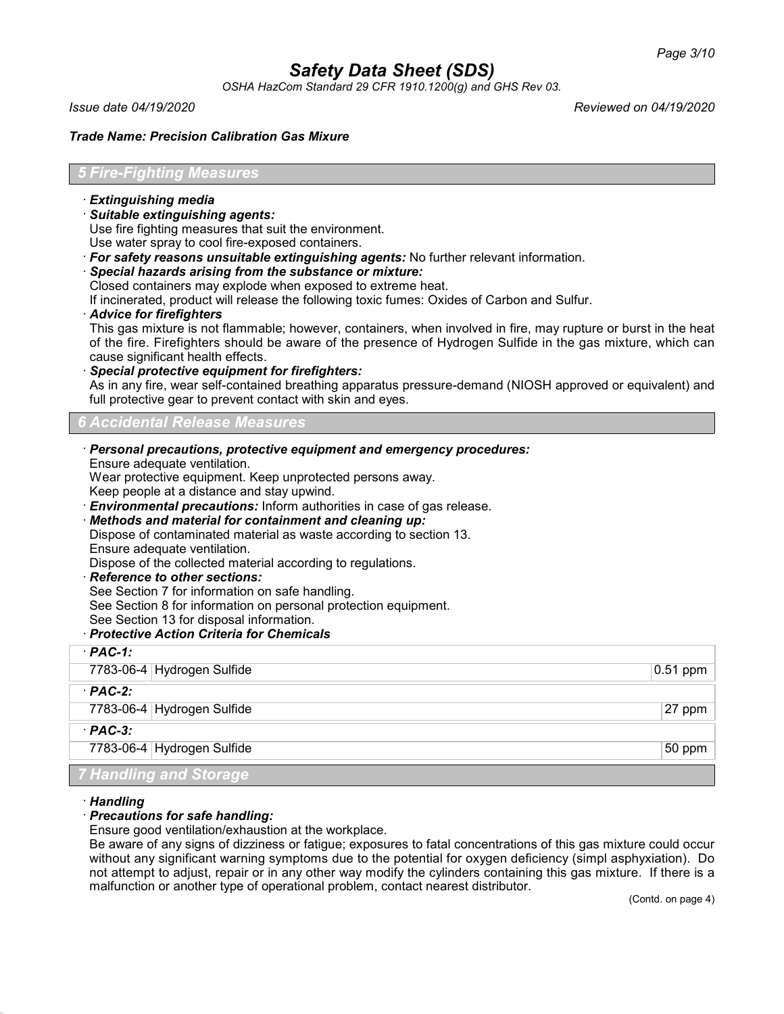*OSHA HazCom Standard 29 CFR 1910.1200(g) and GHS Rev 03.*

*Issue date 04/19/2020 Reviewed on 04/19/2020*

### *Trade Name: Precision Calibration Gas Mixure*

### *5 Fire-Fighting Measures*

- · *Extinguishing media*
- · *Suitable extinguishing agents:*

Use fire fighting measures that suit the environment.

Use water spray to cool fire-exposed containers.

- · *For safety reasons unsuitable extinguishing agents:* No further relevant information.
- · *Special hazards arising from the substance or mixture:*
- Closed containers may explode when exposed to extreme heat.

If incinerated, product will release the following toxic fumes: Oxides of Carbon and Sulfur.

### · *Advice for firefighters*

This gas mixture is not flammable; however, containers, when involved in fire, may rupture or burst in the heat of the fire. Firefighters should be aware of the presence of Hydrogen Sulfide in the gas mixture, which can cause significant health effects.

· *Special protective equipment for firefighters:*

As in any fire, wear self-contained breathing apparatus pressure-demand (NIOSH approved or equivalent) and full protective gear to prevent contact with skin and eyes.

### *6 Accidental Release Measures*

- · *Personal precautions, protective equipment and emergency procedures:*
- Ensure adequate ventilation.

Wear protective equipment. Keep unprotected persons away.

Keep people at a distance and stay upwind.

**Environmental precautions:** Inform authorities in case of gas release.

· *Methods and material for containment and cleaning up:*

Dispose of contaminated material as waste according to section 13.

Ensure adequate ventilation.

Dispose of the collected material according to regulations.

· *Reference to other sections:*

See Section 7 for information on safe handling.

See Section 8 for information on personal protection equipment.

See Section 13 for disposal information.

### · *Protective Action Criteria for Chemicals*

| $PAC-1$ :                     |                 |
|-------------------------------|-----------------|
| 7783-06-4 Hydrogen Sulfide    | $ 0.51$ ppm $ $ |
| $PAC-2$ :                     |                 |
| 7783-06-4 Hydrogen Sulfide    | 27 ppm          |
| $PAC-3$ :                     |                 |
| 7783-06-4 Hydrogen Sulfide    | 50 ppm          |
| <b>7 Handling and Storage</b> |                 |

### · *Handling*

### · *Precautions for safe handling:*

Ensure good ventilation/exhaustion at the workplace.

Be aware of any signs of dizziness or fatigue; exposures to fatal concentrations of this gas mixture could occur without any significant warning symptoms due to the potential for oxygen deficiency (simpl asphyxiation). Do not attempt to adjust, repair or in any other way modify the cylinders containing this gas mixture. If there is a malfunction or another type of operational problem, contact nearest distributor.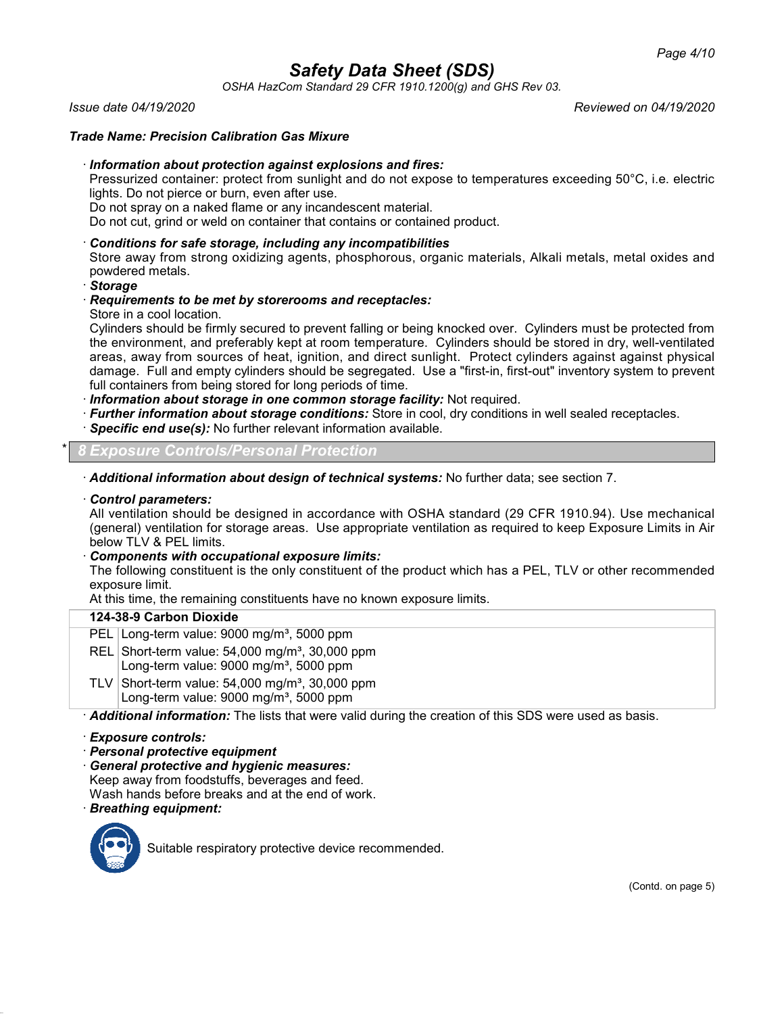*OSHA HazCom Standard 29 CFR 1910.1200(g) and GHS Rev 03.*

*Issue date 04/19/2020 Reviewed on 04/19/2020*

### *Trade Name: Precision Calibration Gas Mixure*

### · *Information about protection against explosions and fires:*

Pressurized container: protect from sunlight and do not expose to temperatures exceeding 50°C, i.e. electric lights. Do not pierce or burn, even after use.

Do not spray on a naked flame or any incandescent material.

Do not cut, grind or weld on container that contains or contained product.

### · *Conditions for safe storage, including any incompatibilities*

Store away from strong oxidizing agents, phosphorous, organic materials, Alkali metals, metal oxides and powdered metals.

### · *Storage*

### · *Requirements to be met by storerooms and receptacles:*

Store in a cool location.

Cylinders should be firmly secured to prevent falling or being knocked over. Cylinders must be protected from the environment, and preferably kept at room temperature. Cylinders should be stored in dry, well-ventilated areas, away from sources of heat, ignition, and direct sunlight. Protect cylinders against against physical damage. Full and empty cylinders should be segregated. Use a "first-in, first-out" inventory system to prevent full containers from being stored for long periods of time.

· *Information about storage in one common storage facility:* Not required.

- · *Further information about storage conditions:* Store in cool, dry conditions in well sealed receptacles.
- · *Specific end use(s):* No further relevant information available.

\* *8 Exposure Controls/Personal Protection*

· *Additional information about design of technical systems:* No further data; see section 7.

### · *Control parameters:*

All ventilation should be designed in accordance with OSHA standard (29 CFR 1910.94). Use mechanical (general) ventilation for storage areas. Use appropriate ventilation as required to keep Exposure Limits in Air below TLV & PEL limits.

· *Components with occupational exposure limits:*

The following constituent is the only constituent of the product which has a PEL, TLV or other recommended exposure limit.

At this time, the remaining constituents have no known exposure limits.

### **124-38-9 Carbon Dioxide**

- PEL Long-term value: 9000 mg/m<sup>3</sup>, 5000 ppm
- REL Short-term value:  $54,000$  mg/m<sup>3</sup>, 30,000 ppm Long-term value:  $9000 \text{ mg/m}^3$ , 5000 ppm
- TLV Short-term value:  $54,000$  mg/m<sup>3</sup>, 30,000 ppm Long-term value: 9000 mg/m<sup>3</sup>, 5000 ppm

· *Additional information:* The lists that were valid during the creation of this SDS were used as basis.

- · *Exposure controls:*
- · *Personal protective equipment*
- · *General protective and hygienic measures:* Keep away from foodstuffs, beverages and feed. Wash hands before breaks and at the end of work.
- · *Breathing equipment:*



Suitable respiratory protective device recommended.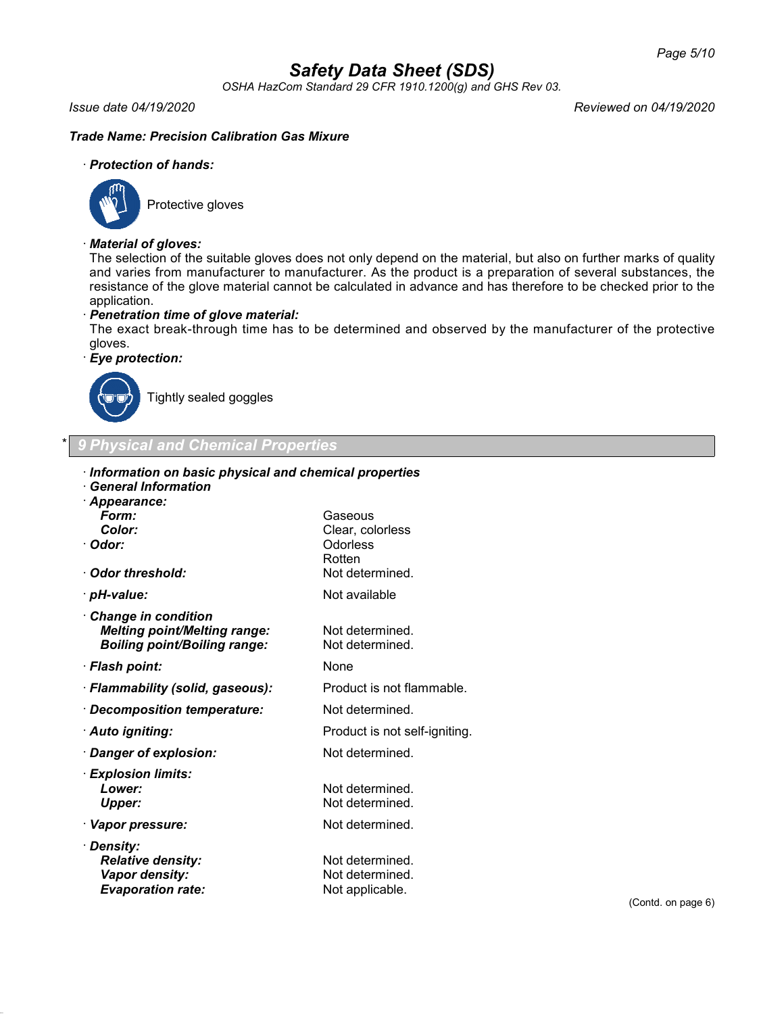*OSHA HazCom Standard 29 CFR 1910.1200(g) and GHS Rev 03.*

### *Issue date 04/19/2020 Reviewed on 04/19/2020*

### *Trade Name: Precision Calibration Gas Mixure*

### · *Protection of hands:*



Protective gloves

### · *Material of gloves:*

The selection of the suitable gloves does not only depend on the material, but also on further marks of quality and varies from manufacturer to manufacturer. As the product is a preparation of several substances, the resistance of the glove material cannot be calculated in advance and has therefore to be checked prior to the application.

### · *Penetration time of glove material:*

The exact break-through time has to be determined and observed by the manufacturer of the protective gloves.

### · *Eye protection:*



Tightly sealed goggles

### \* *9 Physical and Chemical Properties*

| Information on basic physical and chemical properties                                |                                    |  |  |
|--------------------------------------------------------------------------------------|------------------------------------|--|--|
| · General Information                                                                |                                    |  |  |
| · Appearance:                                                                        |                                    |  |  |
| Form:<br>Color:                                                                      | Gaseous                            |  |  |
| · Odor:                                                                              | Clear, colorless<br>Odorless       |  |  |
|                                                                                      | Rotten                             |  |  |
| · Odor threshold:                                                                    | Not determined.                    |  |  |
| · pH-value:                                                                          | Not available                      |  |  |
| $\cdot$ Change in condition<br><b>Melting point/Melting range:</b>                   | Not determined.                    |  |  |
| <b>Boiling point/Boiling range:</b>                                                  | Not determined.                    |  |  |
| · Flash point:                                                                       | None                               |  |  |
| · Flammability (solid, gaseous):                                                     | Product is not flammable.          |  |  |
| · Decomposition temperature:                                                         | Not determined.                    |  |  |
| · Auto igniting:                                                                     | Product is not self-igniting.      |  |  |
| · Danger of explosion:                                                               | Not determined.                    |  |  |
| · Explosion limits:                                                                  |                                    |  |  |
| Lower:                                                                               | Not determined.                    |  |  |
| <b>Upper:</b>                                                                        | Not determined.                    |  |  |
| · Vapor pressure:                                                                    | Not determined.                    |  |  |
| · Density:<br><b>Relative density:</b><br>Vapor density:<br><b>Evaporation rate:</b> | Not determined.<br>Not determined. |  |  |
|                                                                                      | Not applicable.                    |  |  |

(Contd. on page 6)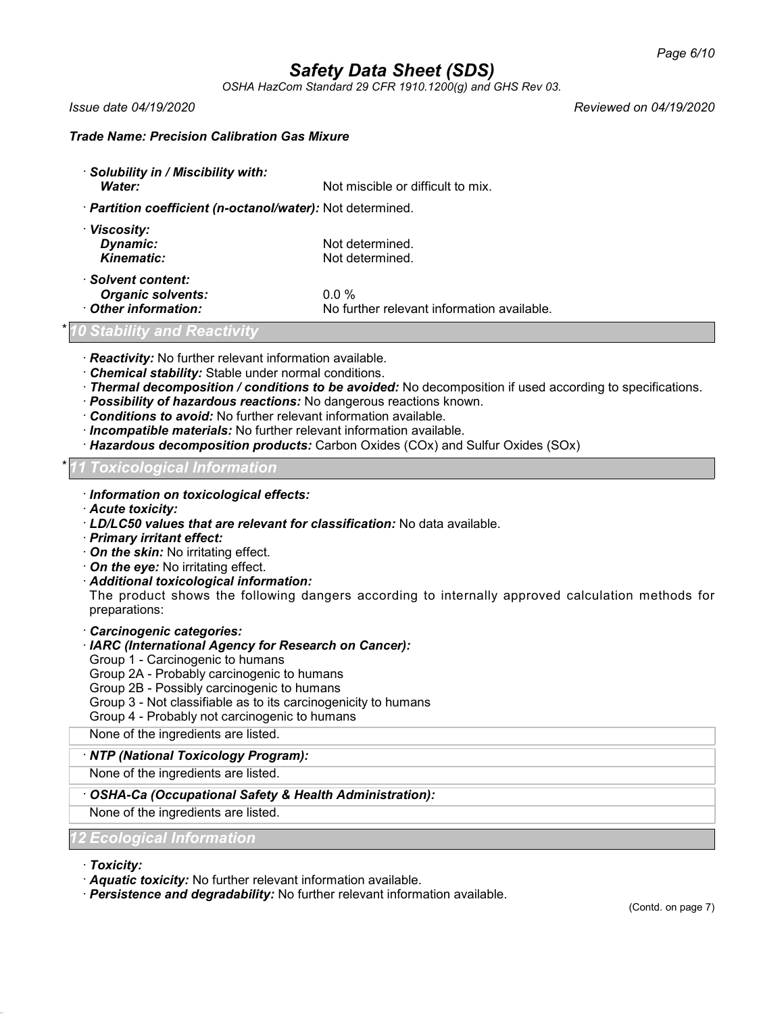*OSHA HazCom Standard 29 CFR 1910.1200(g) and GHS Rev 03.*

*Issue date 04/19/2020 Reviewed on 04/19/2020*

### *Trade Name: Precision Calibration Gas Mixure*

| Solubility in / Miscibility with: |                                   |
|-----------------------------------|-----------------------------------|
| <b>Water:</b>                     | Not miscible or difficult to mix. |

### · *Partition coefficient (n-octanol/water):* Not determined.

| Not determined.                            |
|--------------------------------------------|
| Not determined.                            |
|                                            |
| $0.0\%$                                    |
| No further relevant information available. |
|                                            |

### \* *10 Stability and Reactivity*

· *Reactivity:* No further relevant information available.

- · *Chemical stability:* Stable under normal conditions.
- · *Thermal decomposition / conditions to be avoided:* No decomposition if used according to specifications.
- · *Possibility of hazardous reactions:* No dangerous reactions known.
- · *Conditions to avoid:* No further relevant information available.
- · *Incompatible materials:* No further relevant information available.
- · *Hazardous decomposition products:* Carbon Oxides (COx) and Sulfur Oxides (SOx)

### \* *11 Toxicological Information*

- · *Information on toxicological effects:*
- · *Acute toxicity:*
- · *LD/LC50 values that are relevant for classification:* No data available.
- · *Primary irritant effect:*
- · *On the skin:* No irritating effect.
- · *On the eye:* No irritating effect.
- · *Additional toxicological information:*

The product shows the following dangers according to internally approved calculation methods for preparations:

### · *Carcinogenic categories:*

### · *IARC (International Agency for Research on Cancer):*

Group 1 - Carcinogenic to humans

- Group 2A Probably carcinogenic to humans
- Group 2B Possibly carcinogenic to humans
- Group 3 Not classifiable as to its carcinogenicity to humans
- Group 4 Probably not carcinogenic to humans

None of the ingredients are listed.

### · *NTP (National Toxicology Program):*

None of the ingredients are listed.

### · *OSHA-Ca (Occupational Safety & Health Administration):*

None of the ingredients are listed.

### *12 Ecological Information*

· *Toxicity:*

· *Aquatic toxicity:* No further relevant information available.

· *Persistence and degradability:* No further relevant information available.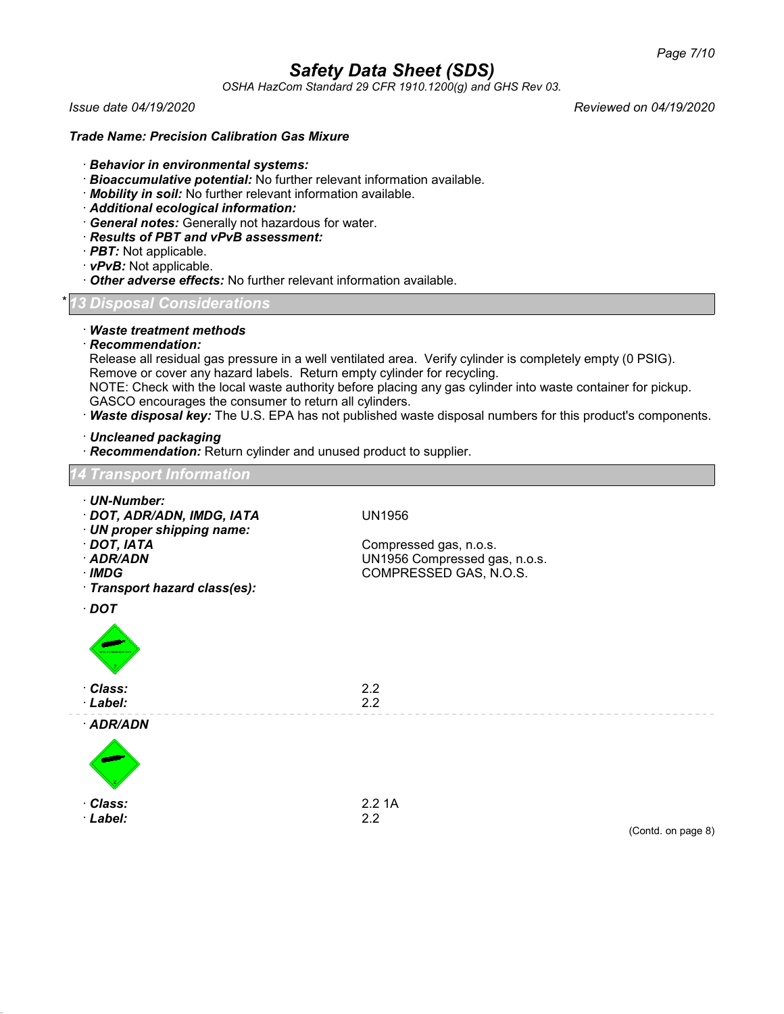*OSHA HazCom Standard 29 CFR 1910.1200(g) and GHS Rev 03.*

*Issue date 04/19/2020 Reviewed on 04/19/2020*

### *Trade Name: Precision Calibration Gas Mixure*

- · *Behavior in environmental systems:*
- · *Bioaccumulative potential:* No further relevant information available.
- · *Mobility in soil:* No further relevant information available.
- · *Additional ecological information:*
- · *General notes:* Generally not hazardous for water.
- · *Results of PBT and vPvB assessment:*
- · *PBT:* Not applicable.
- · *vPvB:* Not applicable.
- · *Other adverse effects:* No further relevant information available.

### \* *13 Disposal Considerations*

### · *Waste treatment methods*

· *Recommendation:*

Release all residual gas pressure in a well ventilated area. Verify cylinder is completely empty (0 PSIG). Remove or cover any hazard labels. Return empty cylinder for recycling.

NOTE: Check with the local waste authority before placing any gas cylinder into waste container for pickup.

- GASCO encourages the consumer to return all cylinders.
- · *Waste disposal key:* The U.S. EPA has not published waste disposal numbers for this product's components.

### · *Uncleaned packaging*

· *Recommendation:* Return cylinder and unused product to supplier.

| <b>14 Transport Information</b>                                                                                                                                            |                                                                                                    |                    |
|----------------------------------------------------------------------------------------------------------------------------------------------------------------------------|----------------------------------------------------------------------------------------------------|--------------------|
| · UN-Number:<br>· DOT, ADR/ADN, IMDG, IATA<br>· UN proper shipping name:<br>$\cdot$ DOT, IATA<br>· ADR/ADN<br>$\cdot$ IMDG<br>· Transport hazard class(es):<br>$\cdot$ DOT | <b>UN1956</b><br>Compressed gas, n.o.s.<br>UN1956 Compressed gas, n.o.s.<br>COMPRESSED GAS, N.O.S. |                    |
| <b>MELAWARER</b>                                                                                                                                                           |                                                                                                    |                    |
| · Class:<br>· Label:                                                                                                                                                       | 2.2<br>2.2                                                                                         |                    |
| · ADR/ADN                                                                                                                                                                  |                                                                                                    |                    |
| · Class:<br>· Label:                                                                                                                                                       | 2.21A<br>2.2                                                                                       | (Contd. on page 8) |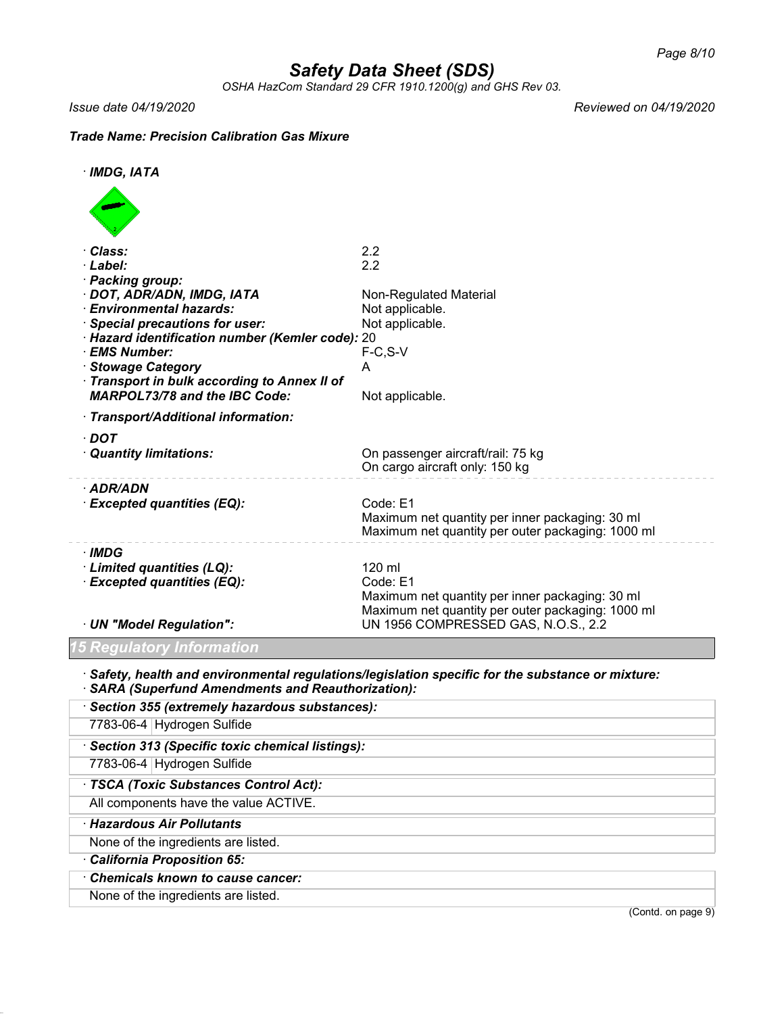*OSHA HazCom Standard 29 CFR 1910.1200(g) and GHS Rev 03.*

*Issue date 04/19/2020 Reviewed on 04/19/2020*

### *Trade Name: Precision Calibration Gas Mixure*

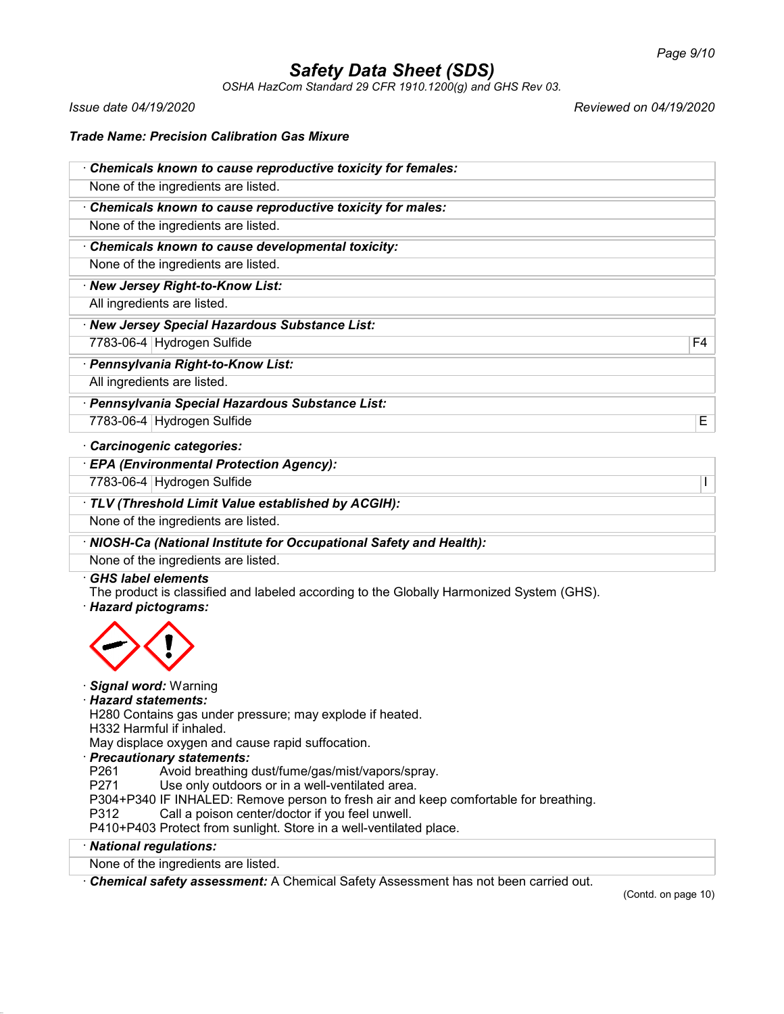*OSHA HazCom Standard 29 CFR 1910.1200(g) and GHS Rev 03.*

*Issue date 04/19/2020 Reviewed on 04/19/2020*

### *Trade Name: Precision Calibration Gas Mixure*

| Chemicals known to cause reproductive toxicity for females:         |    |
|---------------------------------------------------------------------|----|
| None of the ingredients are listed.                                 |    |
| Chemicals known to cause reproductive toxicity for males:           |    |
| None of the ingredients are listed.                                 |    |
| Chemicals known to cause developmental toxicity:                    |    |
| None of the ingredients are listed.                                 |    |
| · New Jersey Right-to-Know List:                                    |    |
| All ingredients are listed.                                         |    |
| · New Jersey Special Hazardous Substance List:                      |    |
| 7783-06-4 Hydrogen Sulfide                                          | F4 |
| · Pennsylvania Right-to-Know List:                                  |    |
| All ingredients are listed.                                         |    |
| · Pennsylvania Special Hazardous Substance List:                    |    |
| 7783-06-4 Hydrogen Sulfide                                          | E  |
| Carcinogenic categories:                                            |    |
| <b>EPA (Environmental Protection Agency):</b>                       |    |
| 7783-06-4 Hydrogen Sulfide                                          | I  |
| TLV (Threshold Limit Value established by ACGIH):                   |    |
| None of the ingredients are listed.                                 |    |
| · NIOSH-Ca (National Institute for Occupational Safety and Health): |    |

None of the ingredients are listed.

### · *GHS label elements*

The product is classified and labeled according to the Globally Harmonized System (GHS).

· *Hazard pictograms:*



### · *Signal word:* Warning

### · *Hazard statements:*

H280 Contains gas under pressure; may explode if heated.

H332 Harmful if inhaled.

May displace oxygen and cause rapid suffocation.

# · *Precautionary statements:*

P261 Avoid breathing dust/fume/gas/mist/vapors/spray.<br>P271 Use only outdoors or in a well-ventilated area.

Use only outdoors or in a well-ventilated area.

P304+P340 IF INHALED: Remove person to fresh air and keep comfortable for breathing.

P312 Call a poison center/doctor if you feel unwell.

P410+P403 Protect from sunlight. Store in a well-ventilated place.

### · *National regulations:*

None of the ingredients are listed.

· *Chemical safety assessment:* A Chemical Safety Assessment has not been carried out.